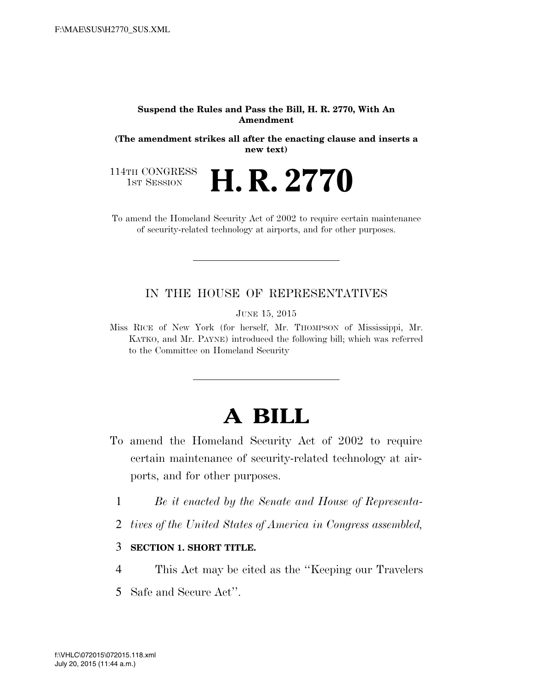#### **Suspend the Rules and Pass the Bill, H. R. 2770, With An Amendment**

**(The amendment strikes all after the enacting clause and inserts a new text)** 

H. R. 2770

114TH CONGRESS<br>1st Session

To amend the Homeland Security Act of 2002 to require certain maintenance of security-related technology at airports, and for other purposes.

### IN THE HOUSE OF REPRESENTATIVES

JUNE 15, 2015

Miss RICE of New York (for herself, Mr. THOMPSON of Mississippi, Mr. KATKO, and Mr. PAYNE) introduced the following bill; which was referred to the Committee on Homeland Security

# **A BILL**

- To amend the Homeland Security Act of 2002 to require certain maintenance of security-related technology at airports, and for other purposes.
	- 1 *Be it enacted by the Senate and House of Representa-*
	- 2 *tives of the United States of America in Congress assembled,*

3 **SECTION 1. SHORT TITLE.** 

- 4 This Act may be cited as the ''Keeping our Travelers
- 5 Safe and Secure Act''.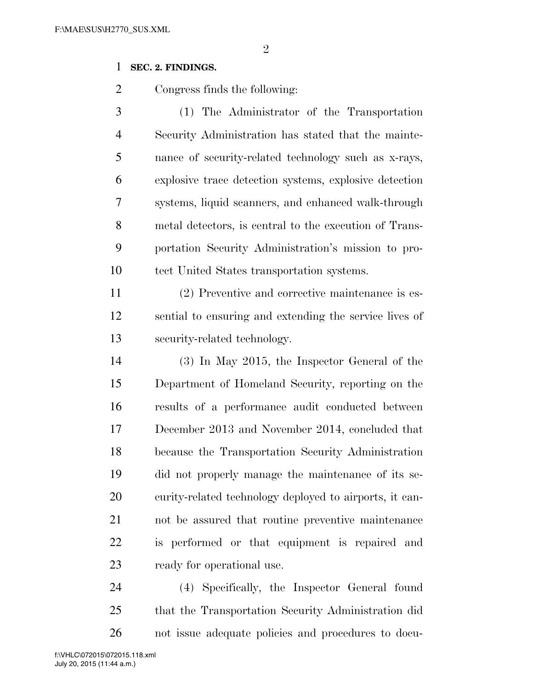#### 

### **SEC. 2. FINDINGS.**

Congress finds the following:

 (1) The Administrator of the Transportation Security Administration has stated that the mainte- nance of security-related technology such as x-rays, explosive trace detection systems, explosive detection systems, liquid scanners, and enhanced walk-through metal detectors, is central to the execution of Trans- portation Security Administration's mission to pro-tect United States transportation systems.

 (2) Preventive and corrective maintenance is es- sential to ensuring and extending the service lives of security-related technology.

 (3) In May 2015, the Inspector General of the Department of Homeland Security, reporting on the results of a performance audit conducted between December 2013 and November 2014, concluded that because the Transportation Security Administration did not properly manage the maintenance of its se- curity-related technology deployed to airports, it can- not be assured that routine preventive maintenance is performed or that equipment is repaired and ready for operational use.

 (4) Specifically, the Inspector General found that the Transportation Security Administration did not issue adequate policies and procedures to docu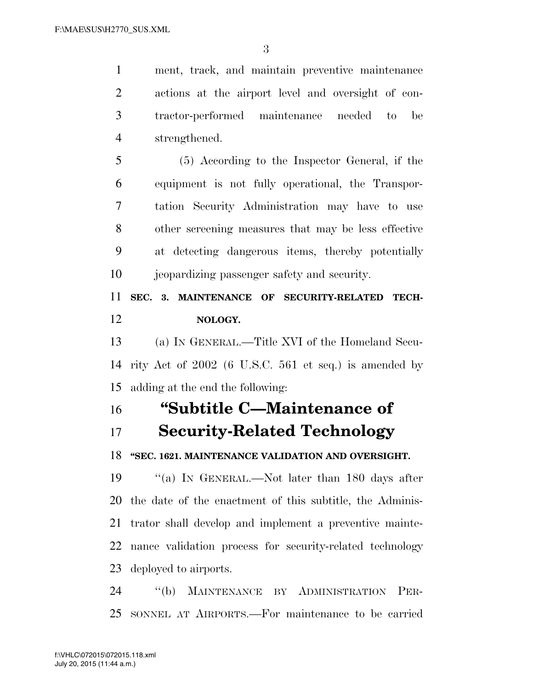ment, track, and maintain preventive maintenance actions at the airport level and oversight of con- tractor-performed maintenance needed to be strengthened.

 (5) According to the Inspector General, if the equipment is not fully operational, the Transpor- tation Security Administration may have to use other screening measures that may be less effective at detecting dangerous items, thereby potentially jeopardizing passenger safety and security.

## **SEC. 3. MAINTENANCE OF SECURITY-RELATED TECH-NOLOGY.**

 (a) IN GENERAL.—Title XVI of the Homeland Secu- rity Act of 2002 (6 U.S.C. 561 et seq.) is amended by adding at the end the following:

# **''Subtitle C—Maintenance of**

## **Security-Related Technology**

### **''SEC. 1621. MAINTENANCE VALIDATION AND OVERSIGHT.**

 ''(a) IN GENERAL.—Not later than 180 days after the date of the enactment of this subtitle, the Adminis- trator shall develop and implement a preventive mainte- nance validation process for security-related technology deployed to airports.

 ''(b) MAINTENANCE BY ADMINISTRATION PER-SONNEL AT AIRPORTS.—For maintenance to be carried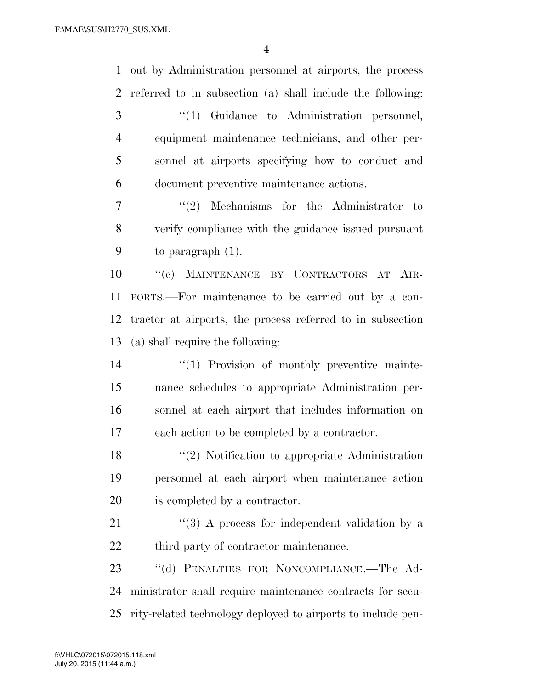out by Administration personnel at airports, the process referred to in subsection (a) shall include the following: 3 (1) Guidance to Administration personnel, equipment maintenance technicians, and other per- sonnel at airports specifying how to conduct and document preventive maintenance actions. 7 ''(2) Mechanisms for the Administrator to verify compliance with the guidance issued pursuant to paragraph (1). ''(c) MAINTENANCE BY CONTRACTORS AT AIR- PORTS.—For maintenance to be carried out by a con- tractor at airports, the process referred to in subsection (a) shall require the following:  $\frac{1}{2}$  (1) Provision of monthly preventive mainte- nance schedules to appropriate Administration per- sonnel at each airport that includes information on each action to be completed by a contractor. 18 ''(2) Notification to appropriate Administration personnel at each airport when maintenance action is completed by a contractor. "(3) A process for independent validation by a 22 third party of contractor maintenance. ''(d) PENALTIES FOR NONCOMPLIANCE.—The Ad- ministrator shall require maintenance contracts for secu-rity-related technology deployed to airports to include pen